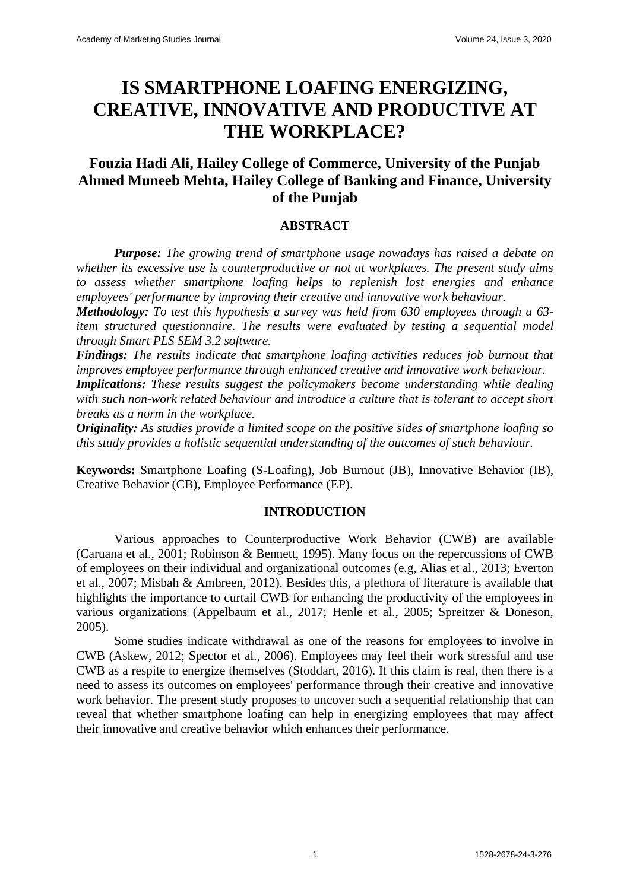# **IS SMARTPHONE LOAFING ENERGIZING, CREATIVE, INNOVATIVE AND PRODUCTIVE AT THE WORKPLACE?**

## **Fouzia Hadi Ali, Hailey College of Commerce, University of the Punjab Ahmed Muneeb Mehta, Hailey College of Banking and Finance, University of the Punjab**

## **ABSTRACT**

*Purpose: The growing trend of smartphone usage nowadays has raised a debate on whether its excessive use is counterproductive or not at workplaces. The present study aims to assess whether smartphone loafing helps to replenish lost energies and enhance employees' performance by improving their creative and innovative work behaviour.*

*Methodology: To test this hypothesis a survey was held from 630 employees through a 63 item structured questionnaire. The results were evaluated by testing a sequential model through Smart PLS SEM 3.2 software.*

*Findings: The results indicate that smartphone loafing activities reduces job burnout that improves employee performance through enhanced creative and innovative work behaviour. Implications: These results suggest the policymakers become understanding while dealing with such non-work related behaviour and introduce a culture that is tolerant to accept short breaks as a norm in the workplace.*

*Originality: As studies provide a limited scope on the positive sides of smartphone loafing so this study provides a holistic sequential understanding of the outcomes of such behaviour.*

**Keywords:** Smartphone Loafing (S-Loafing), Job Burnout (JB), Innovative Behavior (IB), Creative Behavior (CB), Employee Performance (EP).

#### **INTRODUCTION**

Various approaches to Counterproductive Work Behavior (CWB) are available (Caruana et al., 2001; Robinson & Bennett, 1995). Many focus on the repercussions of CWB of employees on their individual and organizational outcomes (e.g, Alias et al., 2013; Everton et al., 2007; Misbah & Ambreen, 2012). Besides this, a plethora of literature is available that highlights the importance to curtail CWB for enhancing the productivity of the employees in various organizations (Appelbaum et al., 2017; Henle et al., 2005; Spreitzer & Doneson, 2005).

Some studies indicate withdrawal as one of the reasons for employees to involve in CWB (Askew, 2012; Spector et al., 2006). Employees may feel their work stressful and use CWB as a respite to energize themselves (Stoddart, 2016). If this claim is real, then there is a need to assess its outcomes on employees' performance through their creative and innovative work behavior. The present study proposes to uncover such a sequential relationship that can reveal that whether smartphone loafing can help in energizing employees that may affect their innovative and creative behavior which enhances their performance.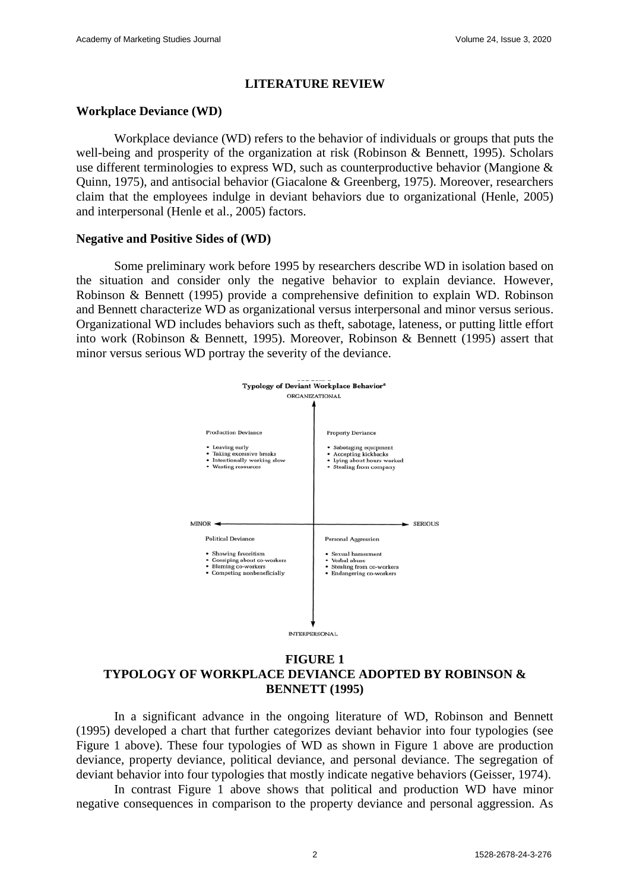## **LITERATURE REVIEW**

## **Workplace Deviance (WD)**

Workplace deviance (WD) refers to the behavior of individuals or groups that puts the well-being and prosperity of the organization at risk (Robinson & Bennett, 1995). Scholars use different terminologies to express WD, such as counterproductive behavior (Mangione & Quinn, 1975), and antisocial behavior (Giacalone & Greenberg, 1975). Moreover, researchers claim that the employees indulge in deviant behaviors due to organizational (Henle, 2005) and interpersonal (Henle et al., 2005) factors.

## **Negative and Positive Sides of (WD)**

Some preliminary work before 1995 by researchers describe WD in isolation based on the situation and consider only the negative behavior to explain deviance. However, Robinson & Bennett (1995) provide a comprehensive definition to explain WD. Robinson and Bennett characterize WD as organizational versus interpersonal and minor versus serious. Organizational WD includes behaviors such as theft, sabotage, lateness, or putting little effort into work (Robinson & Bennett, 1995). Moreover, Robinson & Bennett (1995) assert that minor versus serious WD portray the severity of the deviance.



## **FIGURE 1 TYPOLOGY OF WORKPLACE DEVIANCE ADOPTED BY ROBINSON & BENNETT (1995)**

In a significant advance in the ongoing literature of WD, Robinson and Bennett (1995) developed a chart that further categorizes deviant behavior into four typologies (see Figure 1 above). These four typologies of WD as shown in Figure 1 above are production deviance, property deviance, political deviance, and personal deviance. The segregation of deviant behavior into four typologies that mostly indicate negative behaviors (Geisser, 1974).

In contrast Figure 1 above shows that political and production WD have minor negative consequences in comparison to the property deviance and personal aggression. As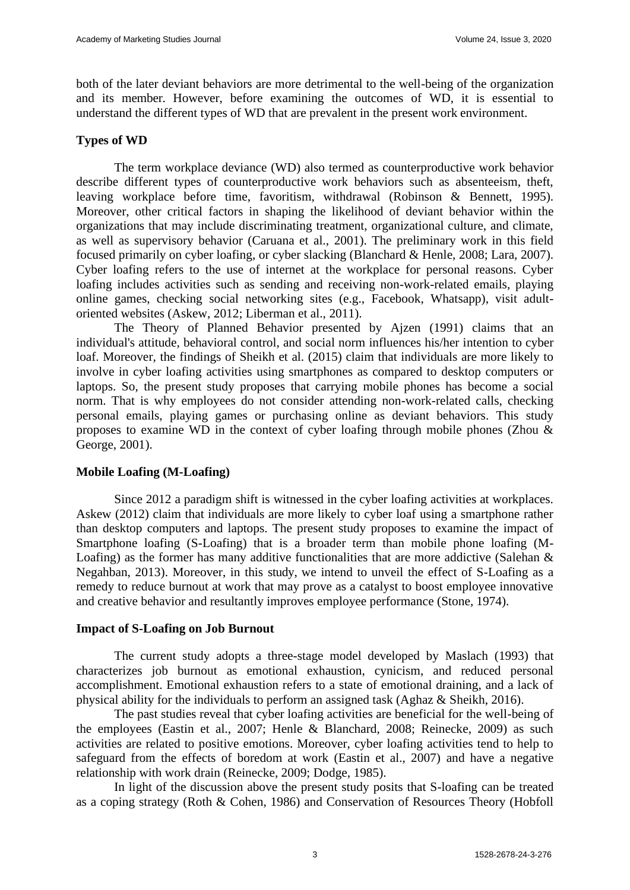both of the later deviant behaviors are more detrimental to the well-being of the organization and its member. However, before examining the outcomes of WD, it is essential to understand the different types of WD that are prevalent in the present work environment.

## **Types of WD**

The term workplace deviance (WD) also termed as counterproductive work behavior describe different types of counterproductive work behaviors such as absenteeism, theft, leaving workplace before time, favoritism, withdrawal (Robinson & Bennett, 1995). Moreover, other critical factors in shaping the likelihood of deviant behavior within the organizations that may include discriminating treatment, organizational culture, and climate, as well as supervisory behavior (Caruana et al., 2001). The preliminary work in this field focused primarily on cyber loafing, or cyber slacking (Blanchard & Henle, 2008; Lara, 2007). Cyber loafing refers to the use of internet at the workplace for personal reasons. Cyber loafing includes activities such as sending and receiving non-work-related emails, playing online games, checking social networking sites (e.g., Facebook, Whatsapp), visit adultoriented websites (Askew, 2012; Liberman et al., 2011).

The Theory of Planned Behavior presented by Ajzen (1991) claims that an individual's attitude, behavioral control, and social norm influences his/her intention to cyber loaf. Moreover, the findings of Sheikh et al. (2015) claim that individuals are more likely to involve in cyber loafing activities using smartphones as compared to desktop computers or laptops. So, the present study proposes that carrying mobile phones has become a social norm. That is why employees do not consider attending non-work-related calls, checking personal emails, playing games or purchasing online as deviant behaviors. This study proposes to examine WD in the context of cyber loafing through mobile phones (Zhou & George, 2001).

## **Mobile Loafing (M-Loafing)**

Since 2012 a paradigm shift is witnessed in the cyber loafing activities at workplaces. Askew (2012) claim that individuals are more likely to cyber loaf using a smartphone rather than desktop computers and laptops. The present study proposes to examine the impact of Smartphone loafing (S-Loafing) that is a broader term than mobile phone loafing (M-Loafing) as the former has many additive functionalities that are more addictive (Salehan  $\&$ Negahban, 2013). Moreover, in this study, we intend to unveil the effect of S-Loafing as a remedy to reduce burnout at work that may prove as a catalyst to boost employee innovative and creative behavior and resultantly improves employee performance (Stone, 1974).

#### **Impact of S-Loafing on Job Burnout**

The current study adopts a three-stage model developed by Maslach (1993) that characterizes job burnout as emotional exhaustion, cynicism, and reduced personal accomplishment. Emotional exhaustion refers to a state of emotional draining, and a lack of physical ability for the individuals to perform an assigned task (Aghaz & Sheikh, 2016).

The past studies reveal that cyber loafing activities are beneficial for the well-being of the employees (Eastin et al., 2007; Henle & Blanchard, 2008; Reinecke, 2009) as such activities are related to positive emotions. Moreover, cyber loafing activities tend to help to safeguard from the effects of boredom at work (Eastin et al., 2007) and have a negative relationship with work drain (Reinecke, 2009; Dodge, 1985).

In light of the discussion above the present study posits that S-loafing can be treated as a coping strategy (Roth & Cohen, 1986) and Conservation of Resources Theory (Hobfoll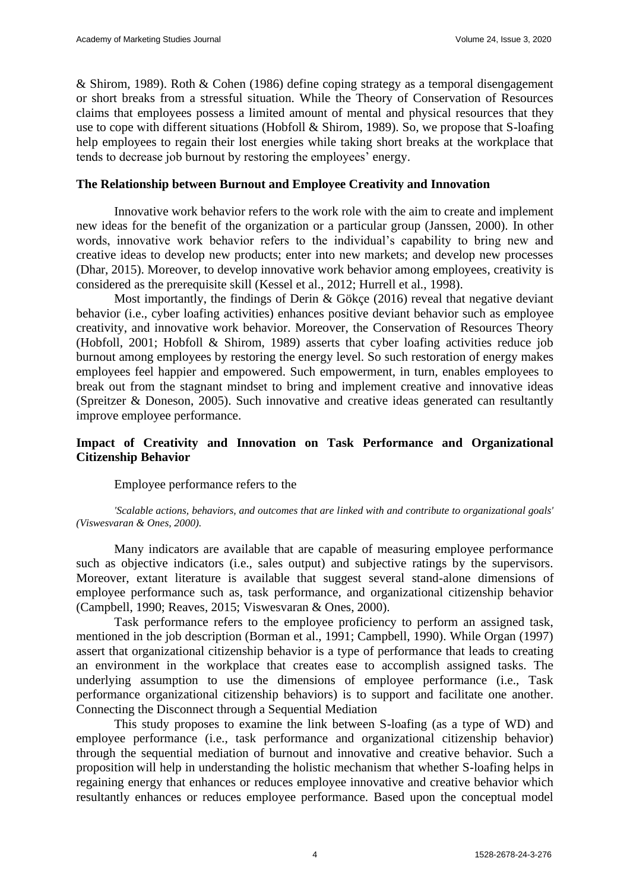& Shirom, 1989). Roth & Cohen (1986) define coping strategy as a temporal disengagement or short breaks from a stressful situation. While the Theory of Conservation of Resources claims that employees possess a limited amount of mental and physical resources that they use to cope with different situations (Hobfoll & Shirom, 1989). So, we propose that S-loafing help employees to regain their lost energies while taking short breaks at the workplace that tends to decrease job burnout by restoring the employees' energy.

## **The Relationship between Burnout and Employee Creativity and Innovation**

Innovative work behavior refers to the work role with the aim to create and implement new ideas for the benefit of the organization or a particular group (Janssen, 2000). In other words, innovative work behavior refers to the individual's capability to bring new and creative ideas to develop new products; enter into new markets; and develop new processes (Dhar, 2015). Moreover, to develop innovative work behavior among employees, creativity is considered as the prerequisite skill (Kessel et al., 2012; Hurrell et al., 1998).

Most importantly, the findings of Derin & Gökçe (2016) reveal that negative deviant behavior (i.e., cyber loafing activities) enhances positive deviant behavior such as employee creativity, and innovative work behavior. Moreover, the Conservation of Resources Theory (Hobfoll, 2001; Hobfoll & Shirom, 1989) asserts that cyber loafing activities reduce job burnout among employees by restoring the energy level. So such restoration of energy makes employees feel happier and empowered. Such empowerment, in turn, enables employees to break out from the stagnant mindset to bring and implement creative and innovative ideas (Spreitzer & Doneson, 2005). Such innovative and creative ideas generated can resultantly improve employee performance.

## **Impact of Creativity and Innovation on Task Performance and Organizational Citizenship Behavior**

Employee performance refers to the

*'Scalable actions, behaviors, and outcomes that are linked with and contribute to organizational goals' (Viswesvaran & Ones, 2000).*

Many indicators are available that are capable of measuring employee performance such as objective indicators (i.e., sales output) and subjective ratings by the supervisors. Moreover, extant literature is available that suggest several stand-alone dimensions of employee performance such as, task performance, and organizational citizenship behavior (Campbell, 1990; Reaves, 2015; Viswesvaran & Ones, 2000).

Task performance refers to the employee proficiency to perform an assigned task, mentioned in the job description (Borman et al., 1991; Campbell, 1990). While Organ (1997) assert that organizational citizenship behavior is a type of performance that leads to creating an environment in the workplace that creates ease to accomplish assigned tasks. The underlying assumption to use the dimensions of employee performance (i.e., Task performance organizational citizenship behaviors) is to support and facilitate one another. Connecting the Disconnect through a Sequential Mediation

This study proposes to examine the link between S-loafing (as a type of WD) and employee performance (i.e., task performance and organizational citizenship behavior) through the sequential mediation of burnout and innovative and creative behavior. Such a proposition will help in understanding the holistic mechanism that whether S-loafing helps in regaining energy that enhances or reduces employee innovative and creative behavior which resultantly enhances or reduces employee performance. Based upon the conceptual model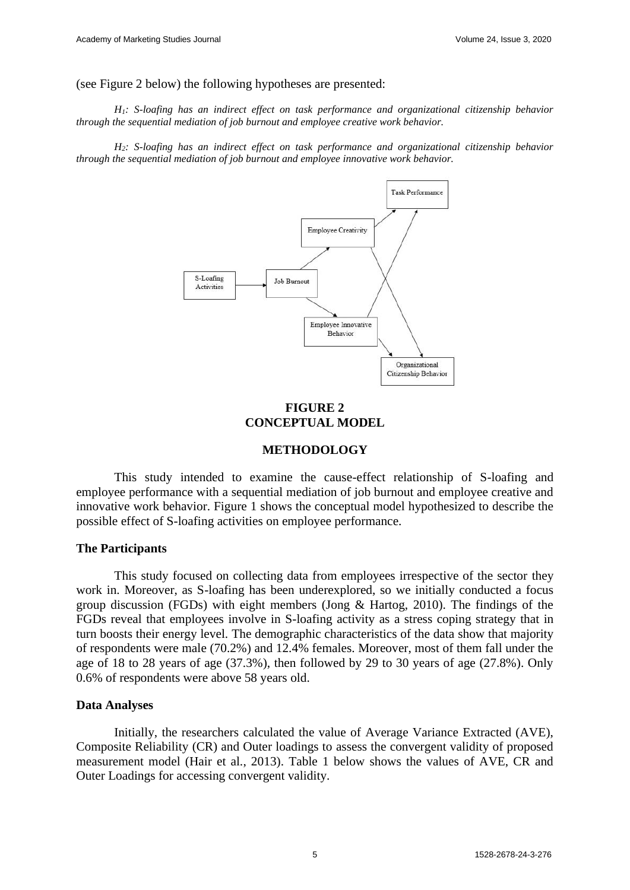(see Figure 2 below) the following hypotheses are presented:

*H1: S-loafing has an indirect effect on task performance and organizational citizenship behavior through the sequential mediation of job burnout and employee creative work behavior.*

*H2: S-loafing has an indirect effect on task performance and organizational citizenship behavior through the sequential mediation of job burnout and employee innovative work behavior.*



## **FIGURE 2 CONCEPTUAL MODEL**

## **METHODOLOGY**

This study intended to examine the cause-effect relationship of S-loafing and employee performance with a sequential mediation of job burnout and employee creative and innovative work behavior. Figure 1 shows the conceptual model hypothesized to describe the possible effect of S-loafing activities on employee performance.

#### **The Participants**

This study focused on collecting data from employees irrespective of the sector they work in. Moreover, as S-loafing has been underexplored, so we initially conducted a focus group discussion (FGDs) with eight members (Jong & Hartog, 2010). The findings of the FGDs reveal that employees involve in S-loafing activity as a stress coping strategy that in turn boosts their energy level. The demographic characteristics of the data show that majority of respondents were male (70.2%) and 12.4% females. Moreover, most of them fall under the age of 18 to 28 years of age (37.3%), then followed by 29 to 30 years of age (27.8%). Only 0.6% of respondents were above 58 years old.

#### **Data Analyses**

Initially, the researchers calculated the value of Average Variance Extracted (AVE), Composite Reliability (CR) and Outer loadings to assess the convergent validity of proposed measurement model (Hair et al., 2013). Table 1 below shows the values of AVE, CR and Outer Loadings for accessing convergent validity.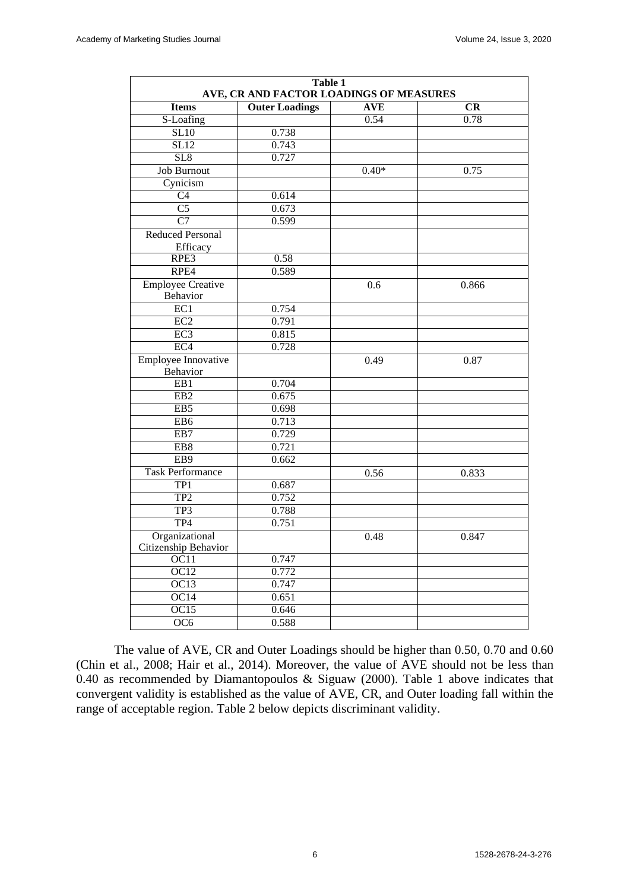| Table 1<br>AVE, CR AND FACTOR LOADINGS OF MEASURES |                       |            |       |
|----------------------------------------------------|-----------------------|------------|-------|
| <b>Items</b>                                       | <b>Outer Loadings</b> | <b>AVE</b> | CR    |
| S-Loafing                                          |                       | 0.54       | 0.78  |
| <b>SL10</b>                                        | 0.738                 |            |       |
| SL12                                               | 0.743                 |            |       |
| SL8                                                | 0.727                 |            |       |
| Job Burnout                                        |                       | $0.40*$    | 0.75  |
| Cynicism                                           |                       |            |       |
| C <sub>4</sub>                                     | 0.614                 |            |       |
| $\overline{C5}$                                    | 0.673                 |            |       |
| $\overline{C7}$                                    | 0.599                 |            |       |
| <b>Reduced Personal</b>                            |                       |            |       |
| Efficacy                                           |                       |            |       |
| RPE3                                               | 0.58                  |            |       |
| RPE4                                               | 0.589                 |            |       |
| <b>Employee Creative</b>                           |                       | 0.6        | 0.866 |
| Behavior                                           |                       |            |       |
| EC1                                                | 0.754                 |            |       |
| EC <sub>2</sub>                                    | 0.791                 |            |       |
| EC <sub>3</sub>                                    | 0.815                 |            |       |
| EC <sub>4</sub>                                    | 0.728                 |            |       |
| <b>Employee Innovative</b><br>Behavior             |                       | 0.49       | 0.87  |
| EB1                                                | 0.704                 |            |       |
| EB <sub>2</sub>                                    | 0.675                 |            |       |
| EB5                                                | 0.698                 |            |       |
| EB <sub>6</sub>                                    | 0.713                 |            |       |
| EB7                                                | 0.729                 |            |       |
| EB8                                                | 0.721                 |            |       |
| EB9                                                | 0.662                 |            |       |
| <b>Task Performance</b>                            |                       |            |       |
| TP1                                                | 0.687                 | 0.56       | 0.833 |
| TP <sub>2</sub>                                    | 0.752                 |            |       |
| TP3                                                | 0.788                 |            |       |
| TP4                                                | 0.751                 |            |       |
|                                                    |                       |            |       |
| Organizational<br>Citizenship Behavior             |                       | 0.48       | 0.847 |
| OC11                                               | 0.747                 |            |       |
| OC12                                               | 0.772                 |            |       |
| OC13                                               | 0.747                 |            |       |
| OC14                                               | 0.651                 |            |       |
| OC15                                               | 0.646                 |            |       |
| OC6                                                | 0.588                 |            |       |
|                                                    |                       |            |       |

The value of AVE, CR and Outer Loadings should be higher than 0.50, 0.70 and 0.60 (Chin et al., 2008; Hair et al., 2014). Moreover, the value of AVE should not be less than 0.40 as recommended by Diamantopoulos & Siguaw (2000). Table 1 above indicates that convergent validity is established as the value of AVE, CR, and Outer loading fall within the range of acceptable region. Table 2 below depicts discriminant validity.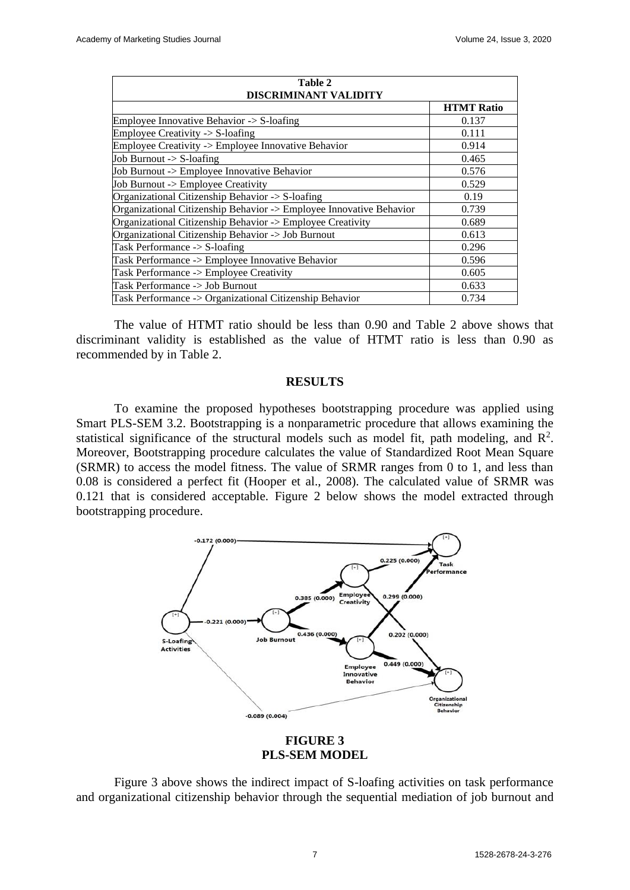| Table 2<br><b>DISCRIMINANT VALIDITY</b>                             |                   |  |  |
|---------------------------------------------------------------------|-------------------|--|--|
|                                                                     | <b>HTMT</b> Ratio |  |  |
| Employee Innovative Behavior $\geq$ S-loafing                       | 0.137             |  |  |
| Employee Creativity $\rightarrow$ S-loafing                         | 0.111             |  |  |
| Employee Creativity -> Employee Innovative Behavior                 | 0.914             |  |  |
| Job Burnout -> S-loafing                                            | 0.465             |  |  |
| Job Burnout -> Employee Innovative Behavior                         | 0.576             |  |  |
| Job Burnout -> Employee Creativity                                  | 0.529             |  |  |
| Organizational Citizenship Behavior -> S-loafing                    | 0.19              |  |  |
| Organizational Citizenship Behavior -> Employee Innovative Behavior | 0.739             |  |  |
| Organizational Citizenship Behavior -> Employee Creativity          | 0.689             |  |  |
| Organizational Citizenship Behavior -> Job Burnout                  | 0.613             |  |  |
| Task Performance -> S-loafing                                       | 0.296             |  |  |
| Task Performance -> Employee Innovative Behavior                    | 0.596             |  |  |
| Task Performance -> Employee Creativity                             | 0.605             |  |  |
| Task Performance -> Job Burnout                                     | 0.633             |  |  |
| Task Performance -> Organizational Citizenship Behavior             | 0.734             |  |  |

The value of HTMT ratio should be less than 0.90 and Table 2 above shows that discriminant validity is established as the value of HTMT ratio is less than 0.90 as recommended by in Table 2.

## **RESULTS**

To examine the proposed hypotheses bootstrapping procedure was applied using Smart PLS-SEM 3.2. Bootstrapping is a nonparametric procedure that allows examining the statistical significance of the structural models such as model fit, path modeling, and  $\mathbb{R}^2$ . Moreover, Bootstrapping procedure calculates the value of Standardized Root Mean Square (SRMR) to access the model fitness. The value of SRMR ranges from 0 to 1, and less than 0.08 is considered a perfect fit (Hooper et al., 2008). The calculated value of SRMR was 0.121 that is considered acceptable. Figure 2 below shows the model extracted through bootstrapping procedure.



## **FIGURE 3 PLS-SEM MODEL**

Figure 3 above shows the indirect impact of S-loafing activities on task performance and organizational citizenship behavior through the sequential mediation of job burnout and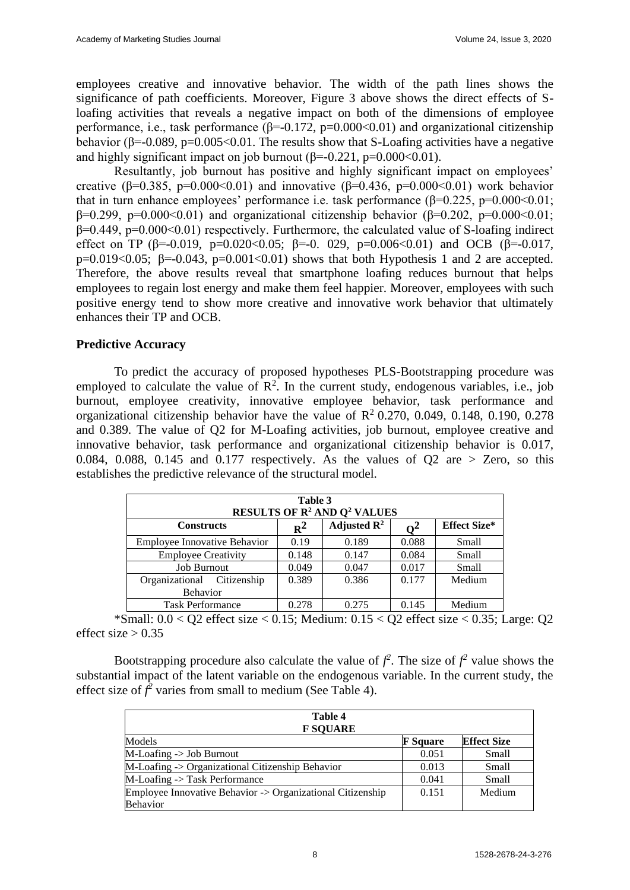employees creative and innovative behavior. The width of the path lines shows the significance of path coefficients. Moreover, Figure 3 above shows the direct effects of Sloafing activities that reveals a negative impact on both of the dimensions of employee performance, i.e., task performance ( $\beta$ =-0.172, p=0.000<0.01) and organizational citizenship behavior ( $\beta$ =-0.089, p=0.005<0.01. The results show that S-Loafing activities have a negative and highly significant impact on job burnout  $(\beta = -0.221, p = 0.000 \times 0.01)$ .

Resultantly, job burnout has positive and highly significant impact on employees' creative (β=0.385, p=0.000<0.01) and innovative (β=0.436, p=0.000<0.01) work behavior that in turn enhance employees' performance i.e. task performance  $(\beta=0.225, p=0.000<0.01;$  $β=0.299$ ,  $p=0.000<0.01$ ) and organizational citizenship behavior ( $β=0.202$ ,  $p=0.000<0.01$ ; β=0.449, p=0.000<0.01) respectively. Furthermore, the calculated value of S-loafing indirect effect on TP ( $\beta$ =-0.019, p=0.020<0.05;  $\beta$ =-0.029, p=0.006<0.01) and OCB ( $\beta$ =-0.017, p=0.019<0.05;  $\beta$ =-0.043, p=0.001<0.01) shows that both Hypothesis 1 and 2 are accepted. Therefore, the above results reveal that smartphone loafing reduces burnout that helps employees to regain lost energy and make them feel happier. Moreover, employees with such positive energy tend to show more creative and innovative work behavior that ultimately enhances their TP and OCB.

## **Predictive Accuracy**

To predict the accuracy of proposed hypotheses PLS-Bootstrapping procedure was employed to calculate the value of  $\mathbb{R}^2$ . In the current study, endogenous variables, i.e., job burnout, employee creativity, innovative employee behavior, task performance and organizational citizenship behavior have the value of  $\mathbb{R}^2$  0.270, 0.049, 0.148, 0.190, 0.278 and 0.389. The value of Q2 for M-Loafing activities, job burnout, employee creative and innovative behavior, task performance and organizational citizenship behavior is 0.017, 0.084, 0.088, 0.145 and 0.177 respectively. As the values of Q2 are  $>$  Zero, so this establishes the predictive relevance of the structural model.

| Table 3<br><b>RESULTS OF R<sup>2</sup> AND Q<sup>2</sup> VALUES</b> |       |                         |       |                     |  |
|---------------------------------------------------------------------|-------|-------------------------|-------|---------------------|--|
| <b>Constructs</b>                                                   | $R^2$ | Adjusted $\mathbb{R}^2$ |       | <b>Effect Size*</b> |  |
| <b>Employee Innovative Behavior</b>                                 | 0.19  | 0.189                   | 0.088 | Small               |  |
| <b>Employee Creativity</b>                                          | 0.148 | 0.147                   | 0.084 | Small               |  |
| <b>Job Burnout</b>                                                  | 0.049 | 0.047                   | 0.017 | Small               |  |
| Organizational Citizenship                                          | 0.389 | 0.386                   | 0.177 | Medium              |  |
| <b>Behavior</b>                                                     |       |                         |       |                     |  |
| <b>Task Performance</b>                                             | 0.278 | 0.275                   | 0.145 | Medium              |  |

\*Small:  $0.0 < Q$ 2 effect size  $< 0.15$ ; Medium:  $0.15 < Q$ 2 effect size  $< 0.35$ ; Large:  $Q$ 2 effect size  $> 0.35$ 

Bootstrapping procedure also calculate the value of  $f^2$ . The size of  $f^2$  value shows the substantial impact of the latent variable on the endogenous variable. In the current study, the effect size of  $f^2$  varies from small to medium (See Table 4).

| Table 4<br><b>F SQUARE</b>                                 |                 |                    |  |  |
|------------------------------------------------------------|-----------------|--------------------|--|--|
| Models                                                     | <b>F</b> Square | <b>Effect Size</b> |  |  |
| $M$ -Loafing $\rightarrow$ Job Burnout                     | 0.051           | Small              |  |  |
| M-Loafing -> Organizational Citizenship Behavior           | 0.013           | Small              |  |  |
| M-Loafing -> Task Performance                              | 0.041           | Small              |  |  |
| Employee Innovative Behavior -> Organizational Citizenship | 0.151           | Medium             |  |  |
| <b>Behavior</b>                                            |                 |                    |  |  |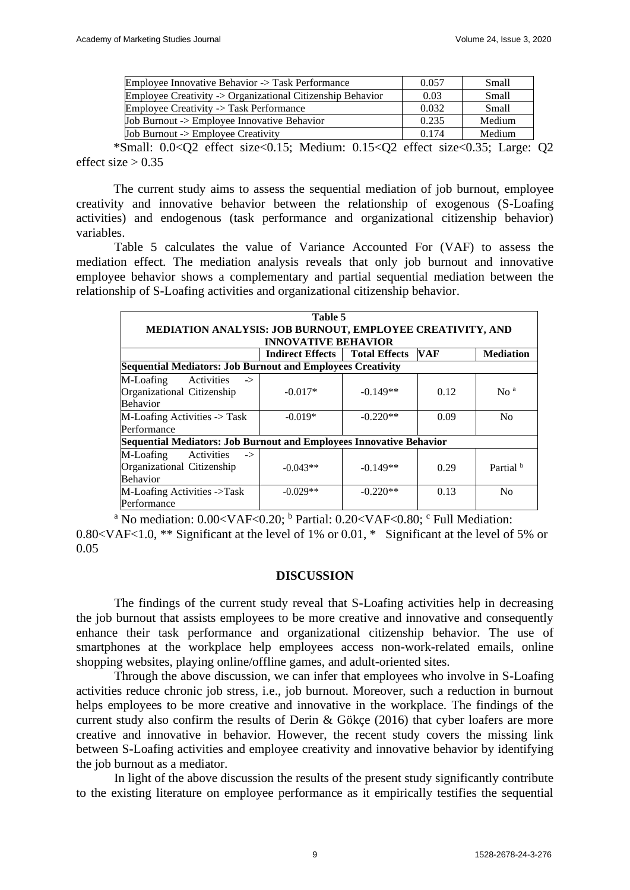| Employee Innovative Behavior -> Task Performance           | 0.057 | Small  |
|------------------------------------------------------------|-------|--------|
| Employee Creativity -> Organizational Citizenship Behavior | 0.03  | Small  |
| Employee Creativity -> Task Performance                    | 0.032 | Small  |
| Job Burnout -> Employee Innovative Behavior                | 0.235 | Medium |
| Job Burnout $\rightarrow$ Employee Creativity              | 0.174 | Medium |

\*Small: 0.0<Q2 effect size<0.15; Medium: 0.15<Q2 effect size<0.35; Large: Q2 effect size  $> 0.35$ 

The current study aims to assess the sequential mediation of job burnout, employee creativity and innovative behavior between the relationship of exogenous (S-Loafing activities) and endogenous (task performance and organizational citizenship behavior) variables.

Table 5 calculates the value of Variance Accounted For (VAF) to assess the mediation effect. The mediation analysis reveals that only job burnout and innovative employee behavior shows a complementary and partial sequential mediation between the relationship of S-Loafing activities and organizational citizenship behavior.

| Table 5                                                                                   |                         |                      |            |                      |
|-------------------------------------------------------------------------------------------|-------------------------|----------------------|------------|----------------------|
| MEDIATION ANALYSIS: JOB BURNOUT, EMPLOYEE CREATIVITY, AND<br><b>INNOVATIVE BEHAVIOR</b>   |                         |                      |            |                      |
|                                                                                           | <b>Indirect Effects</b> | <b>Total Effects</b> | <b>VAF</b> | <b>Mediation</b>     |
| <b>Sequential Mediators: Job Burnout and Employees Creativity</b>                         |                         |                      |            |                      |
| M-Loafing<br>Activities<br>$\rightarrow$<br>Organizational Citizenship<br><b>Behavior</b> | $-0.017*$               | $-0.149**$           | 0.12       | No <sup>a</sup>      |
| M-Loafing Activities $\frac{1}{2}$ Task<br>Performance                                    | $-0.019*$               | $-0.220**$           | 0.09       | N <sub>0</sub>       |
| Sequential Mediators: Job Burnout and Employees Innovative Behavior                       |                         |                      |            |                      |
| M-Loafing<br>Activities<br>$\rightarrow$<br>Organizational Citizenship<br>Behavior        | $-0.043**$              | $-0.149**$           | 0.29       | Partial <sup>b</sup> |
| M-Loafing Activities ->Task<br>Performance                                                | $-0.029**$              | $-0.220**$           | 0.13       | No                   |

<sup>a</sup> No mediation:  $0.00 < VAF < 0.20$ ; <sup>b</sup> Partial:  $0.20 < VAF < 0.80$ ; <sup>c</sup> Full Mediation: 0.80<VAF<1.0, \*\* Significant at the level of 1% or 0.01, \* Significant at the level of 5% or 0.05

#### **DISCUSSION**

The findings of the current study reveal that S-Loafing activities help in decreasing the job burnout that assists employees to be more creative and innovative and consequently enhance their task performance and organizational citizenship behavior. The use of smartphones at the workplace help employees access non-work-related emails, online shopping websites, playing online/offline games, and adult-oriented sites.

Through the above discussion, we can infer that employees who involve in S-Loafing activities reduce chronic job stress, i.e., job burnout. Moreover, such a reduction in burnout helps employees to be more creative and innovative in the workplace. The findings of the current study also confirm the results of Derin & Gökçe (2016) that cyber loafers are more creative and innovative in behavior. However, the recent study covers the missing link between S-Loafing activities and employee creativity and innovative behavior by identifying the job burnout as a mediator.

In light of the above discussion the results of the present study significantly contribute to the existing literature on employee performance as it empirically testifies the sequential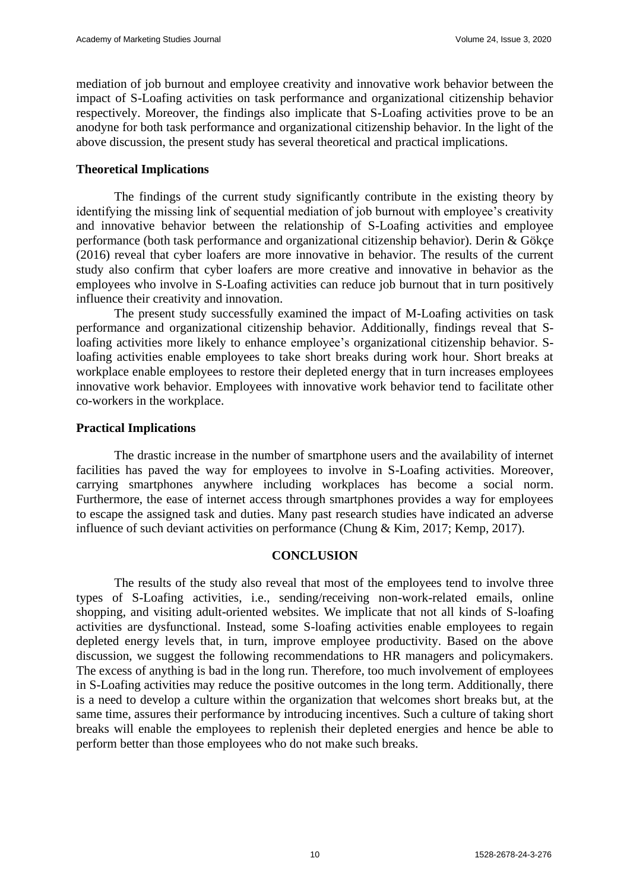mediation of job burnout and employee creativity and innovative work behavior between the impact of S-Loafing activities on task performance and organizational citizenship behavior respectively. Moreover, the findings also implicate that S-Loafing activities prove to be an anodyne for both task performance and organizational citizenship behavior. In the light of the above discussion, the present study has several theoretical and practical implications.

## **Theoretical Implications**

The findings of the current study significantly contribute in the existing theory by identifying the missing link of sequential mediation of job burnout with employee's creativity and innovative behavior between the relationship of S-Loafing activities and employee performance (both task performance and organizational citizenship behavior). Derin & Gökçe (2016) reveal that cyber loafers are more innovative in behavior. The results of the current study also confirm that cyber loafers are more creative and innovative in behavior as the employees who involve in S-Loafing activities can reduce job burnout that in turn positively influence their creativity and innovation.

The present study successfully examined the impact of M-Loafing activities on task performance and organizational citizenship behavior. Additionally, findings reveal that Sloafing activities more likely to enhance employee's organizational citizenship behavior. Sloafing activities enable employees to take short breaks during work hour. Short breaks at workplace enable employees to restore their depleted energy that in turn increases employees innovative work behavior. Employees with innovative work behavior tend to facilitate other co-workers in the workplace.

## **Practical Implications**

The drastic increase in the number of smartphone users and the availability of internet facilities has paved the way for employees to involve in S-Loafing activities. Moreover, carrying smartphones anywhere including workplaces has become a social norm. Furthermore, the ease of internet access through smartphones provides a way for employees to escape the assigned task and duties. Many past research studies have indicated an adverse influence of such deviant activities on performance (Chung & Kim, 2017; Kemp, 2017).

#### **CONCLUSION**

The results of the study also reveal that most of the employees tend to involve three types of S-Loafing activities, i.e., sending/receiving non-work-related emails, online shopping, and visiting adult-oriented websites. We implicate that not all kinds of S-loafing activities are dysfunctional. Instead, some S-loafing activities enable employees to regain depleted energy levels that, in turn, improve employee productivity. Based on the above discussion, we suggest the following recommendations to HR managers and policymakers. The excess of anything is bad in the long run. Therefore, too much involvement of employees in S-Loafing activities may reduce the positive outcomes in the long term. Additionally, there is a need to develop a culture within the organization that welcomes short breaks but, at the same time, assures their performance by introducing incentives. Such a culture of taking short breaks will enable the employees to replenish their depleted energies and hence be able to perform better than those employees who do not make such breaks.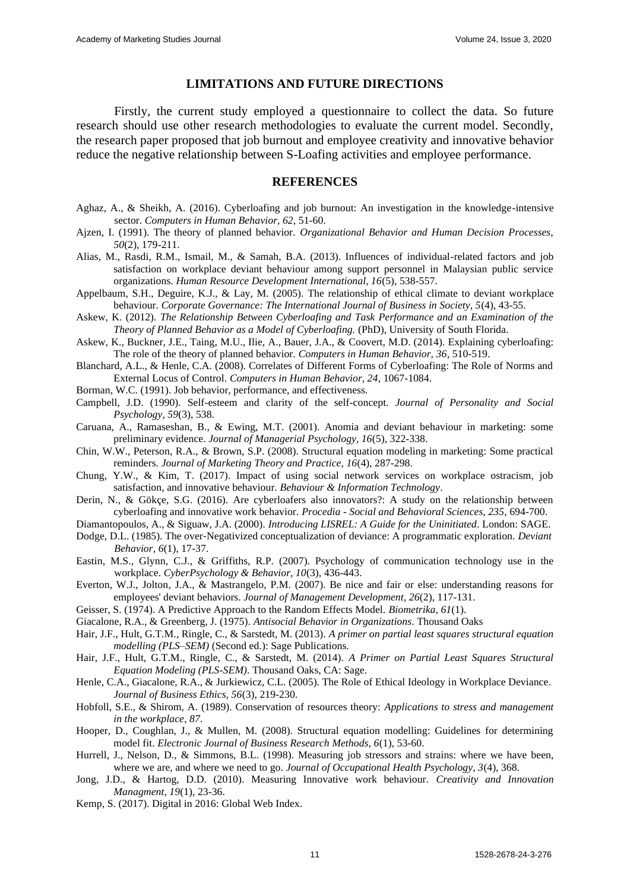#### **LIMITATIONS AND FUTURE DIRECTIONS**

Firstly, the current study employed a questionnaire to collect the data. So future research should use other research methodologies to evaluate the current model. Secondly, the research paper proposed that job burnout and employee creativity and innovative behavior reduce the negative relationship between S-Loafing activities and employee performance.

#### **REFERENCES**

- Aghaz, A., & Sheikh, A. (2016). Cyberloafing and job burnout: An investigation in the knowledge-intensive sector. *Computers in Human Behavior, 62*, 51-60.
- Ajzen, I. (1991). The theory of planned behavior. *Organizational Behavior and Human Decision Processes, 50*(2), 179-211.
- Alias, M., Rasdi, R.M., Ismail, M., & Samah, B.A. (2013). Influences of individual-related factors and job satisfaction on workplace deviant behaviour among support personnel in Malaysian public service organizations. *Human Resource Development International, 16*(5), 538-557.
- Appelbaum, S.H., Deguire, K.J., & Lay, M. (2005). The relationship of ethical climate to deviant workplace behaviour. *Corporate Governance: The International Journal of Business in Society, 5*(4), 43-55.
- Askew, K. (2012). *The Relationship Between Cyberloafing and Task Performance and an Examination of the Theory of Planned Behavior as a Model of Cyberloafing.* (PhD), University of South Florida.
- Askew, K., Buckner, J.E., Taing, M.U., Ilie, A., Bauer, J.A., & Coovert, M.D. (2014). Explaining cyberloafing: The role of the theory of planned behavior. *Computers in Human Behavior, 36*, 510-519.
- Blanchard, A.L., & Henle, C.A. (2008). Correlates of Different Forms of Cyberloafing: The Role of Norms and External Locus of Control. *Computers in Human Behavior, 24*, 1067-1084.
- Borman, W.C. (1991). Job behavior, performance, and effectiveness.
- Campbell, J.D. (1990). Self-esteem and clarity of the self-concept. *Journal of Personality and Social Psychology, 59*(3), 538.
- Caruana, A., Ramaseshan, B., & Ewing, M.T. (2001). Anomia and deviant behaviour in marketing: some preliminary evidence. *Journal of Managerial Psychology, 16*(5), 322-338.
- Chin, W.W., Peterson, R.A., & Brown, S.P. (2008). Structural equation modeling in marketing: Some practical reminders. *Journal of Marketing Theory and Practice, 16*(4), 287-298.
- Chung, Y.W., & Kim, T. (2017). Impact of using social network services on workplace ostracism, job satisfaction, and innovative behaviour. *Behaviour & Information Technology*.
- Derin, N., & Gökçe, S.G. (2016). Are cyberloafers also innovators?: A study on the relationship between cyberloafing and innovative work behavior. *Procedia - Social and Behavioral Sciences, 235*, 694-700.
- Diamantopoulos, A., & Siguaw, J.A. (2000). *Introducing LISREL: A Guide for the Uninitiated*. London: SAGE.
- Dodge, D.L. (1985). The over‐Negativized conceptualization of deviance: A programmatic exploration. *Deviant Behavior, 6*(1), 17-37.
- Eastin, M.S., Glynn, C.J., & Griffiths, R.P. (2007). Psychology of communication technology use in the workplace. *CyberPsychology & Behavior, 10*(3), 436-443.
- Everton, W.J., Jolton, J.A., & Mastrangelo, P.M. (2007). Be nice and fair or else: understanding reasons for employees' deviant behaviors. *Journal of Management Development, 26*(2), 117-131.
- Geisser, S. (1974). A Predictive Approach to the Random Effects Model. *Biometrika, 61*(1).
- Giacalone, R.A., & Greenberg, J. (1975). *Antisocial Behavior in Organizations*. Thousand Oaks
- Hair, J.F., Hult, G.T.M., Ringle, C., & Sarstedt, M. (2013). *A primer on partial least squares structural equation modelling (PLS–SEM)* (Second ed.): Sage Publications.
- Hair, J.F., Hult, G.T.M., Ringle, C., & Sarstedt, M. (2014). *A Primer on Partial Least Squares Structural Equation Modeling (PLS-SEM)*. Thousand Oaks, CA: Sage.
- Henle, C.A., Giacalone, R.A., & Jurkiewicz, C.L. (2005). The Role of Ethical Ideology in Workplace Deviance. *Journal of Business Ethics, 56*(3), 219-230.
- Hobfoll, S.E., & Shirom, A. (1989). Conservation of resources theory: *Applications to stress and management in the workplace*, *87*.
- Hooper, D., Coughlan, J., & Mullen, M. (2008). Structural equation modelling: Guidelines for determining model fit. *Electronic Journal of Business Research Methods, 6*(1), 53-60.
- Hurrell, J., Nelson, D., & Simmons, B.L. (1998). Measuring job stressors and strains: where we have been, where we are, and where we need to go. *Journal of Occupational Health Psychology, 3*(4), 368.
- Jong, J.D., & Hartog, D.D. (2010). Measuring Innovative work behaviour. *Creativity and Innovation Managment, 19*(1), 23-36.
- Kemp, S. (2017). Digital in 2016: Global Web Index.